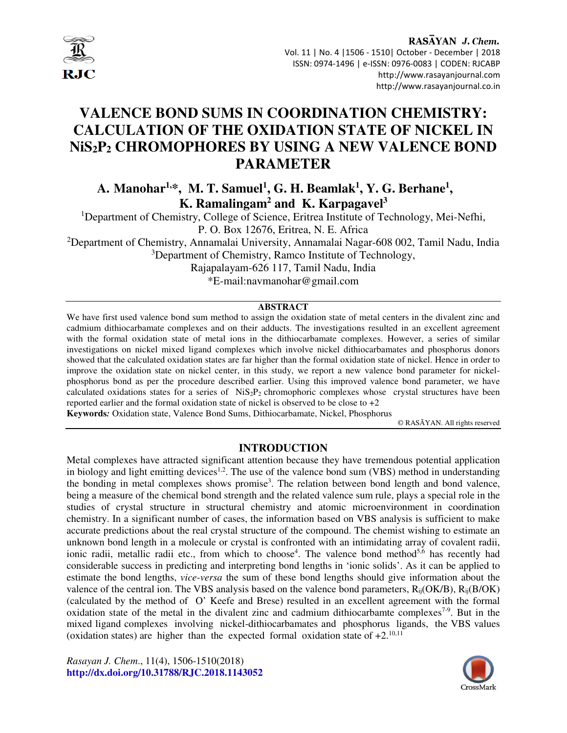

RASAYAN J. Chem. Vol. 11 | No. 4 |1506 - 1510| October - December | 2018 ISSN: 0974-1496 | e-ISSN: 0976-0083 | CODEN: RJCABP http://www.rasayanjournal.com http://www.rasayanjournal.co.in

# **VALENCE BOND SUMS IN COORDINATION CHEMISTRY: CALCULATION OF THE OXIDATION STATE OF NICKEL IN NiS2P2 CHROMOPHORES BY USING A NEW VALENCE BOND PARAMETER**

# **A. Manohar1,\*, M. T. Samuel<sup>1</sup> , G. H. Beamlak<sup>1</sup> , Y. G. Berhane<sup>1</sup> , K. Ramalingam<sup>2</sup> and K. Karpagavel<sup>3</sup>**

<sup>1</sup>Department of Chemistry, College of Science, Eritrea Institute of Technology, Mei-Nefhi, P. O. Box 12676, Eritrea, N. E. Africa

<sup>2</sup>Department of Chemistry, Annamalai University, Annamalai Nagar-608 002, Tamil Nadu, India <sup>3</sup>Department of Chemistry, Ramco Institute of Technology,

Rajapalayam-626 117, Tamil Nadu, India

\*E-mail:navmanohar@gmail.com

#### **ABSTRACT**

We have first used valence bond sum method to assign the oxidation state of metal centers in the divalent zinc and cadmium dithiocarbamate complexes and on their adducts. The investigations resulted in an excellent agreement with the formal oxidation state of metal ions in the dithiocarbamate complexes. However, a series of similar investigations on nickel mixed ligand complexes which involve nickel dithiocarbamates and phosphorus donors showed that the calculated oxidation states are far higher than the formal oxidation state of nickel. Hence in order to improve the oxidation state on nickel center, in this study, we report a new valence bond parameter for nickelphosphorus bond as per the procedure described earlier. Using this improved valence bond parameter, we have calculated oxidations states for a series of  $NiS_2P_2$  chromophoric complexes whose crystal structures have been reported earlier and the formal oxidation state of nickel is observed to be close to  $+2$ 

**Keywords***:* Oxidation state, Valence Bond Sums, Dithiocarbamate, Nickel, Phosphorus

© RASĀYAN. All rights reserved

# **INTRODUCTION**

Metal complexes have attracted significant attention because they have tremendous potential application in biology and light emitting devices<sup>1,2</sup>. The use of the valence bond sum (VBS) method in understanding the bonding in metal complexes shows promise<sup>3</sup>. The relation between bond length and bond valence, being a measure of the chemical bond strength and the related valence sum rule, plays a special role in the studies of crystal structure in structural chemistry and atomic microenvironment in coordination chemistry. In a significant number of cases, the information based on VBS analysis is sufficient to make accurate predictions about the real crystal structure of the compound. The chemist wishing to estimate an unknown bond length in a molecule or crystal is confronted with an intimidating array of covalent radii, ionic radii, metallic radii etc., from which to choose<sup>4</sup>. The valence bond method<sup>5,6</sup> has recently had considerable success in predicting and interpreting bond lengths in 'ionic solids'. As it can be applied to estimate the bond lengths, *vice-versa* the sum of these bond lengths should give information about the valence of the central ion. The VBS analysis based on the valence bond parameters,  $R_{ii}(OK/B)$ ,  $R_{ii}(B/OK)$ (calculated by the method of O' Keefe and Brese) resulted in an excellent agreement with the formal oxidation state of the metal in the divalent zinc and cadmium dithiocarbamte complexes<sup>7-9</sup>. But in the mixed ligand complexes involving nickel-dithiocarbamates and phosphorus ligands, the VBS values (oxidation states) are higher than the expected formal oxidation state of  $+2$ .<sup>10,11</sup>

*Rasayan J. Chem*., 11(4), 1506-1510(2018) **http://dx.doi.org/10.31788/RJC.2018.1143052**

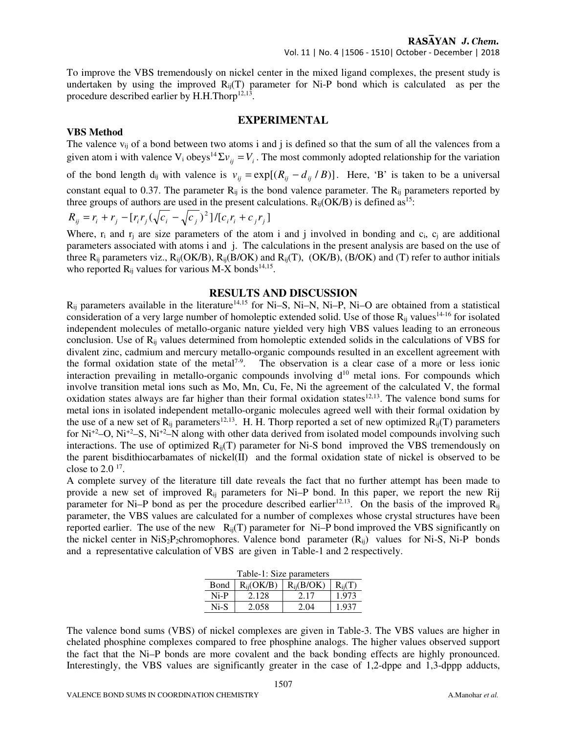To improve the VBS tremendously on nickel center in the mixed ligand complexes, the present study is undertaken by using the improved  $R_{ii}(T)$  parameter for Ni-P bond which is calculated as per the procedure described earlier by H.H.Thorp $12,13$ .

#### **EXPERIMENTAL**

#### **VBS Method**

The valence  $v_{ii}$  of a bond between two atoms i and j is defined so that the sum of all the valences from a given atom i with valence  $V_i$  obeys<sup>14</sup> $\Sigma v_{ij} = V_i$ . The most commonly adopted relationship for the variation of the bond length d<sub>ij</sub> with valence is  $v_{ij} = \exp[(R_{ij} - d_{ij}/B)]$ . Here, 'B' is taken to be a universal constant equal to 0.37. The parameter R<sub>ij</sub> is the bond valence parameter. The R<sub>ij</sub> parameters reported by three groups of authors are used in the present calculations.  $R_{ij}(OK/B)$  is defined as<sup>15</sup>:

$$
R_{ij} = r_i + r_j - [r_i r_j (\sqrt{c_i} - \sqrt{c_j})^2]/[c_i r_i + c_j r_j]
$$

Where,  $r_i$  and  $r_j$  are size parameters of the atom i and j involved in bonding and  $c_i$ ,  $c_j$  are additional parameters associated with atoms i and j. The calculations in the present analysis are based on the use of three  $R_{ij}$  parameters viz.,  $R_{ij}(OK/B)$ ,  $R_{ij}(B/OK)$  and  $R_{ij}(T)$ ,  $(OK/B)$ ,  $(B/OK)$  and  $(T)$  refer to author initials who reported  $R_{ij}$  values for various M-X bonds<sup>14,15</sup>.

#### **RESULTS AND DISCUSSION**

 $R_{ii}$  parameters available in the literature<sup>14,15</sup> for Ni–S, Ni–N, Ni–P, Ni–O are obtained from a statistical consideration of a very large number of homoleptic extended solid. Use of those  $R_{ii}$  values<sup>14-16</sup> for isolated independent molecules of metallo-organic nature yielded very high VBS values leading to an erroneous conclusion. Use of Rij values determined from homoleptic extended solids in the calculations of VBS for divalent zinc, cadmium and mercury metallo-organic compounds resulted in an excellent agreement with the formal oxidation state of the metal<sup>7-9</sup>. The observation is a clear case of a more or less ionic The observation is a clear case of a more or less ionic interaction prevailing in metallo-organic compounds involving  $d^{10}$  metal ions. For compounds which involve transition metal ions such as Mo, Mn, Cu, Fe, Ni the agreement of the calculated V, the formal oxidation states always are far higher than their formal oxidation states<sup>12,13</sup>. The valence bond sums for metal ions in isolated independent metallo-organic molecules agreed well with their formal oxidation by the use of a new set of  $R_{ij}$  parameters<sup>12,13</sup>. H. H. Thorp reported a set of new optimized  $R_{ij}(T)$  parameters for  $Ni^{+2}$ –O,  $Ni^{+2}$ –S,  $Ni^{+2}$ –N along with other data derived from isolated model compounds involving such interactions. The use of optimized  $R_{ii}(T)$  parameter for Ni-S bond improved the VBS tremendously on the parent bisdithiocarbamates of nickel(II) and the formal oxidation state of nickel is observed to be close to  $2.0<sup>17</sup>$ .

A complete survey of the literature till date reveals the fact that no further attempt has been made to provide a new set of improved R<sub>ij</sub> parameters for Ni–P bond. In this paper, we report the new Rij parameter for Ni–P bond as per the procedure described earlier<sup>12,13</sup>. On the basis of the improved  $R_{ii}$ parameter, the VBS values are calculated for a number of complexes whose crystal structures have been reported earlier. The use of the new  $R_{ii}(T)$  parameter for Ni–P bond improved the VBS significantly on the nickel center in  $NiS_2P_2$ chromophores. Valence bond parameter  $(R_{ii})$  values for Ni-S, Ni-P bonds and a representative calculation of VBS are given in Table-1 and 2 respectively.

| Table-1: Size parameters |                |                |             |  |  |
|--------------------------|----------------|----------------|-------------|--|--|
| <b>B</b> ond             | $R_{ii}(OK/B)$ | $R_{ii}(B/OK)$ | $R_{ii}(T)$ |  |  |
| Ni-P                     | 2.128          | 2.17           | 1.973       |  |  |
| $Ni-S$                   | 2.058          | 2.04           | 1.937       |  |  |

The valence bond sums (VBS) of nickel complexes are given in Table-3. The VBS values are higher in chelated phosphine complexes compared to free phosphine analogs. The higher values observed support the fact that the Ni–P bonds are more covalent and the back bonding effects are highly pronounced. Interestingly, the VBS values are significantly greater in the case of 1,2-dppe and 1,3-dppp adducts,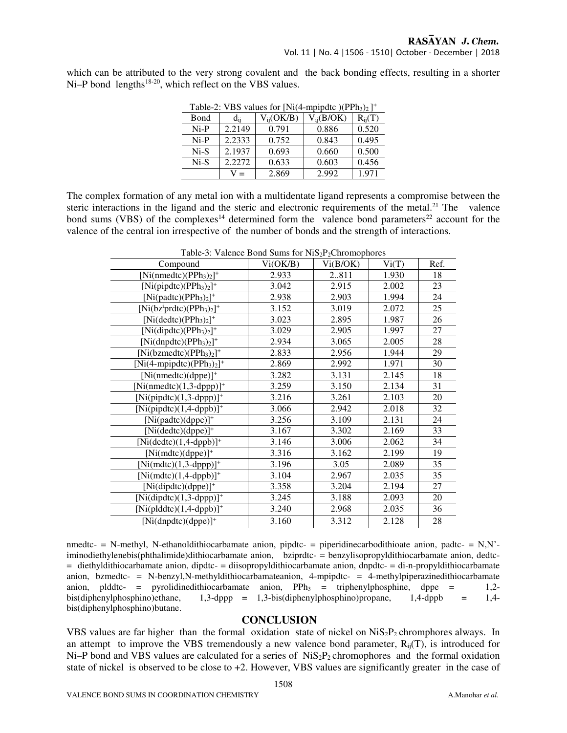which can be attributed to the very strong covalent and the back bonding effects, resulting in a shorter Ni–P bond lengths<sup>18-20</sup>, which reflect on the VBS values.

| Table-2: VDS values for $\text{INI}(4\text{-}\text{I1})$ |          |                |                |             |  |
|----------------------------------------------------------|----------|----------------|----------------|-------------|--|
| Bond                                                     | $d_{ii}$ | $V_{ii}(OK/B)$ | $V_{ii}(B/OK)$ | $R_{ii}(T)$ |  |
| $Ni-P$                                                   | 2.2149   | 0.791          | 0.886          | 0.520       |  |
| $Ni-P$                                                   | 2.2333   | 0.752          | 0.843          | 0.495       |  |
| Ni-S                                                     | 2.1937   | 0.693          | 0.660          | 0.500       |  |
| Ni-S                                                     | 2.2272   | 0.633          | 0.603          | 0.456       |  |
|                                                          | $=$      | 2.869          | 2.992          | 1.971       |  |

Table-2: VBS values for  $[Ni(4-mpipdtc)(PPh<sub>3</sub>)<sub>2</sub>]$ <sup>+</sup>

The complex formation of any metal ion with a multidentate ligand represents a compromise between the steric interactions in the ligand and the steric and electronic requirements of the metal.<sup>21</sup> The valence bond sums (VBS) of the complexes<sup>14</sup> determined form the valence bond parameters<sup>22</sup> account for the valence of the central ion irrespective of the number of bonds and the strength of interactions.

| Table-3: Valence Bond Sums for $NiS_2P_2Chromophores$ |                                                                               |                                 |              |
|-------------------------------------------------------|-------------------------------------------------------------------------------|---------------------------------|--------------|
|                                                       | $\mathbf{r}$ $\mathbf{r}$ $\mathbf{r}$ $\mathbf{r}$ $\mathbf{r}$ $\mathbf{r}$ | $T$ $T$ $T$ $T$ $T$ $T$ $T$ $T$ | $\mathbf{v}$ |

| Compound                               | Vi(OK/B) | Vi(B/OK) | Vi(T) | Ref. |
|----------------------------------------|----------|----------|-------|------|
| $[Ni(nmedtc)(PPh3)2]$ <sup>+</sup>     | 2.933    | 2811     | 1.930 | 18   |
| $[Ni(pipdtc)(PPh3)2]$ <sup>+</sup>     | 3.042    | 2.915    | 2.002 | 23   |
| $[Ni(padtc)(PPh3)2]$ <sup>+</sup>      | 2.938    | 2.903    | 1.994 | 24   |
| $[Ni(bziprdtc)(PPh3)2]+$               | 3.152    | 3.019    | 2.072 | 25   |
| $[Ni(dedtc)(PPh3)2]$ <sup>+</sup>      | 3.023    | 2.895    | 1.987 | 26   |
| $\overline{[Ni(dipdtc)(PPh_3)_2]}^+$   | 3.029    | 2.905    | 1.997 | 27   |
| $[Ni(dnpdtc)(PPh3)2]$ <sup>+</sup>     | 2.934    | 3.065    | 2.005 | 28   |
| $[Ni(bzmedtc)(PPh3)2]$ <sup>+</sup>    | 2.833    | 2.956    | 1.944 | 29   |
| $[Ni(4-mpipdtc)(PPh3)2]$ <sup>+</sup>  | 2.869    | 2.992    | 1.971 | 30   |
| [Ni(nmedtc)(dppe)] <sup>+</sup>        | 3.282    | 3.131    | 2.145 | 18   |
| $[Ni(nmedtc)(1,3-dppp)]^+$             | 3.259    | 3.150    | 2.134 | 31   |
| $[Ni(pipdtc)(1,3-dppp)]^*$             | 3.216    | 3.261    | 2.103 | 20   |
| $[Ni(pipdtc)(1,4-dppb)]$ <sup>+</sup>  | 3.066    | 2.942    | 2.018 | 32   |
| [Ni(padtc)(dppe)] <sup>+</sup>         | 3.256    | 3.109    | 2.131 | 24   |
| [Ni(dedtc)(dppe)] <sup>+</sup>         | 3.167    | 3.302    | 2.169 | 33   |
| $[Ni(dedtc)(1,4-dppb)]$ <sup>+</sup>   | 3.146    | 3.006    | 2.062 | 34   |
| $[Ni(mdtc)(dppe)]^+$                   | 3.316    | 3.162    | 2.199 | 19   |
| $[Ni(mdtc)(1,3-dppp)]^+$               | 3.196    | 3.05     | 2.089 | 35   |
| $[Ni(mdtc)(1,4-dppb)]^+$               | 3.104    | 2.967    | 2.035 | 35   |
| [Ni(dipdtc)(dppe)] <sup>+</sup>        | 3.358    | 3.204    | 2.194 | 27   |
| $[Ni(dipdtc)(1,3-dppp)]^+$             | 3.245    | 3.188    | 2.093 | 20   |
| $[Ni(plddt) (1, 4-dppb)]$ <sup>+</sup> | 3.240    | 2.968    | 2.035 | 36   |
| [Ni(dnpdtc)(dppe)] <sup>+</sup>        | 3.160    | 3.312    | 2.128 | 28   |

nmedtc- = N-methyl, N-ethanoldithiocarbamate anion, pipdtc- = piperidinecarbodithioate anion, padtc- = N,N'iminodiethylenebis(phthalimide)dithiocarbamate anion, bziprdtc- = benzylisopropyldithiocarbamate anion, dedtc-= diethyldithiocarbamate anion, dipdtc- = diisopropyldithiocarbamate anion, dnpdtc- = di-n-propyldithiocarbamate anion, bzmedtc- = N-benzyl, N-methyldithiocarbamateanion, 4-mpipdtc- =  $\overline{4}$ -methylpiperazinedithiocarbamate anion, plddtc- = pyrolidinedithiocarbamate anion,  $PPh_3$  = triphenylphosphine, dppe = 1,2-<br>bis(diphenylphosphino)ethane, 1,3-dppp = 1,3-bis(diphenylphosphino)propane, 1,4-dppb = 1,4- $1,3$ -dppp =  $1,3$ -bis(diphenylphosphino)propane,  $1,4$ -dppb =  $1,4$ bis(diphenylphosphino)butane.

# **CONCLUSION**

VBS values are far higher than the formal oxidation state of nickel on  $Nis_{2}P_{2}$  chromphores always. In an attempt to improve the VBS tremendously a new valence bond parameter,  $R_{ii}(T)$ , is introduced for  $Ni-P$  bond and VBS values are calculated for a series of  $NiS<sub>2</sub>P<sub>2</sub>$  chromophores and the formal oxidation state of nickel is observed to be close to +2. However, VBS values are significantly greater in the case of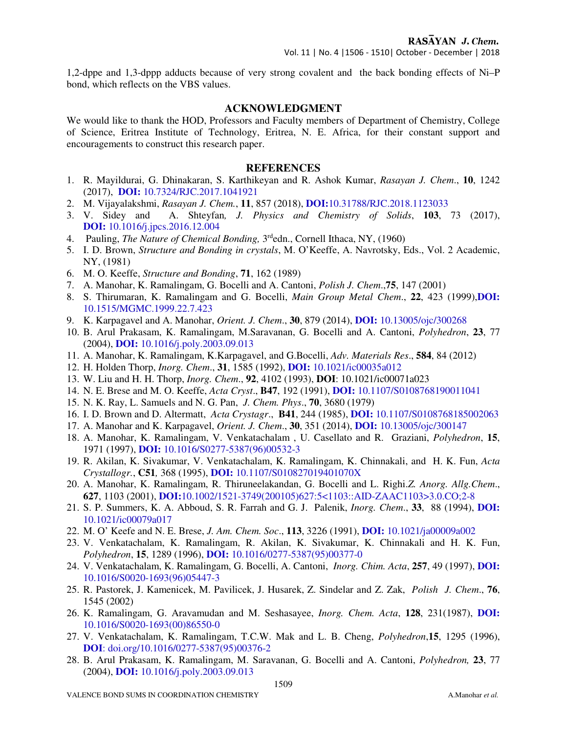1,2-dppe and 1,3-dppp adducts because of very strong covalent and the back bonding effects of Ni–P bond, which reflects on the VBS values.

## **ACKNOWLEDGMENT**

We would like to thank the HOD, Professors and Faculty members of Department of Chemistry, College of Science, Eritrea Institute of Technology, Eritrea, N. E. Africa, for their constant support and encouragements to construct this research paper.

## **REFERENCES**

- 1. R. Mayildurai, G. Dhinakaran, S. Karthikeyan and R. Ashok Kumar, *Rasayan J. Chem*., **10**, 1242 (2017), **DOI:** 10.7324/RJC.2017.1041921
- 2. M. Vijayalakshmi, *Rasayan J. Chem.*, **11**, 857 (2018), **DOI:**10.31788/RJC.2018.1123033
- 3. V. Sidey and A. Shteyfan*, J. Physics and Chemistry of Solids*, **103**, 73 (2017), **DOI:** 10.1016/j.jpcs.2016.12.004
- 4. Pauling, *The Nature of Chemical Bonding,* 3 rdedn., Cornell Ithaca, NY, (1960)
- 5. I. D. Brown, *Structure and Bonding in crystals*, M. O'Keeffe, A. Navrotsky, Eds., Vol. 2 Academic, NY, (1981)
- 6. M. O. Keeffe, *Structure and Bonding*, **71**, 162 (1989)
- 7. A. Manohar, K. Ramalingam, G. Bocelli and A. Cantoni, *Polish J. Chem*.,**75**, 147 (2001)
- 8. S. Thirumaran, K. Ramalingam and G. Bocelli, *Main Group Metal Chem*., **22**, 423 (1999),**DOI:**  10.1515/MGMC.1999.22.7.423
- 9. K. Karpagavel and A. Manohar, *Orient. J. Chem*., **30**, 879 (2014), **DOI:** 10.13005/ojc/300268
- 10. B. Arul Prakasam, K. Ramalingam, M.Saravanan, G. Bocelli and A. Cantoni, *Polyhedron*, **23**, 77 (2004), **DOI:** 10.1016/j.poly.2003.09.013
- 11. A. Manohar, K. Ramalingam, K.Karpagavel, and G.Bocelli, *Adv. Materials Res*., **584**, 84 (2012)
- 12. H. Holden Thorp, *Inorg. Chem*., **31**, 1585 (1992), **DOI:** 10.1021/ic00035a012
- 13. W. Liu and H. H. Thorp, *Inorg. Chem*., **92**, 4102 (1993), **DOI**: 10.1021/ic00071a023
- 14. N. E. Brese and M. O. Keeffe, *Acta Cryst*., **B47**, 192 (1991), **DOI:** 10.1107/S0108768190011041
- 15. N. K. Ray, L. Samuels and N. G. Pan, *J. Chem. Phys*., **70**, 3680 (1979)
- 16. I. D. Brown and D. Altermatt, *Acta Crystagr*., **B41**, 244 (1985), **DOI:** 10.1107/S0108768185002063
- 17. A. Manohar and K. Karpagavel, *Orient. J. Chem*., **30**, 351 (2014), **DOI:** 10.13005/ojc/300147
- 18. A. Manohar, K. Ramalingam, V. Venkatachalam , U. Casellato and R. Graziani, *Polyhedron*, **15**, 1971 (1997), **DOI:** 10.1016/S0277-5387(96)00532-3
- 19. R. Akilan, K. Sivakumar, V. Venkatachalam, K. Ramalingam, K. Chinnakali, and H. K. Fun, *Acta Crystallogr.*, **C51***,* 368 (1995), **DOI:** 10.1107/S010827019401070X
- 20. A. Manohar, K. Ramalingam, R. Thiruneelakandan, G. Bocelli and L. Righi.*Z. Anorg. Allg.Chem*., **627**, 1103 (2001), **DOI:**10.1002/1521-3749(200105)627:5<1103::AID-ZAAC1103>3.0.CO;2-8
- 21. S. P. Summers, K. A. Abboud, S. R. Farrah and G. J. Palenik, *Inorg. Chem*., **33**, 88 (1994), **DOI:** 10.1021/ic00079a017
- 22. M. O' Keefe and N. E. Brese, *J. Am. Chem. Soc*., **113**, 3226 (1991), **DOI:** 10.1021/ja00009a002
- 23. V. Venkatachalam, K. Ramalingam, R. Akilan, K. Sivakumar, K. Chinnakali and H. K. Fun, *Polyhedron*, **15**, 1289 (1996), **DOI:** 10.1016/0277-5387(95)00377-0
- 24. V. Venkatachalam, K. Ramalingam, G. Bocelli, A. Cantoni, *Inorg. Chim. Acta*, **257**, 49 (1997), **DOI:** 10.1016/S0020-1693(96)05447-3
- 25. R. Pastorek, J. Kamenicek, M. Pavilicek, J. Husarek, Z. Sindelar and Z. Zak, *Polish J. Chem*., **76**, 1545 (2002)
- 26. K. Ramalingam, G. Aravamudan and M. Seshasayee, *Inorg. Chem. Acta*, **128**, 231(1987), **DOI:** 10.1016/S0020-1693(00)86550-0
- 27. V. Venkatachalam, K. Ramalingam, T.C.W. Mak and L. B. Cheng, *Polyhedron*,**15**, 1295 (1996), **DOI**: doi.org/10.1016/0277-5387(95)00376-2
- 28. B. Arul Prakasam, K. Ramalingam, M. Saravanan, G. Bocelli and A. Cantoni, *Polyhedron,* **23**, 77 (2004), **DOI:** 10.1016/j.poly.2003.09.013